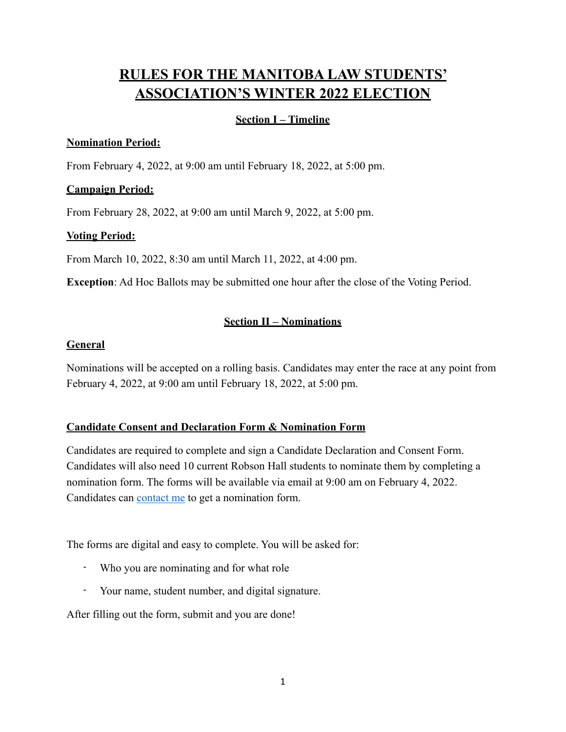# **RULES FOR THE MANITOBA LAW STUDENTS' ASSOCIATION'S WINTER 2022 ELECTION**

# **Section I – Timeline**

## **Nomination Period:**

From February 4, 2022, at 9:00 am until February 18, 2022, at 5:00 pm.

## **Campaign Period:**

From February 28, 2022, at 9:00 am until March 9, 2022, at 5:00 pm.

# **Voting Period:**

From March 10, 2022, 8:30 am until March 11, 2022, at 4:00 pm.

**Exception**: Ad Hoc Ballots may be submitted one hour after the close of the Voting Period.

# **Section II – Nominations**

## **General**

Nominations will be accepted on a rolling basis. Candidates may enter the race at any point from February 4, 2022, at 9:00 am until February 18, 2022, at 5:00 pm.

# **Candidate Consent and Declaration Form & Nomination Form**

Candidates are required to complete and sign a Candidate Declaration and Consent Form. Candidates will also need 10 current Robson Hall students to nominate them by completing a nomination form. The forms will be available via email at 9:00 am on February 4, 2022. Candidates can [contact me](mailto:eshikeno@myumanitoba.ca?subject=CRO) to get a nomination form.

The forms are digital and easy to complete. You will be asked for:

- Who you are nominating and for what role
- Your name, student number, and digital signature.

After filling out the form, submit and you are done!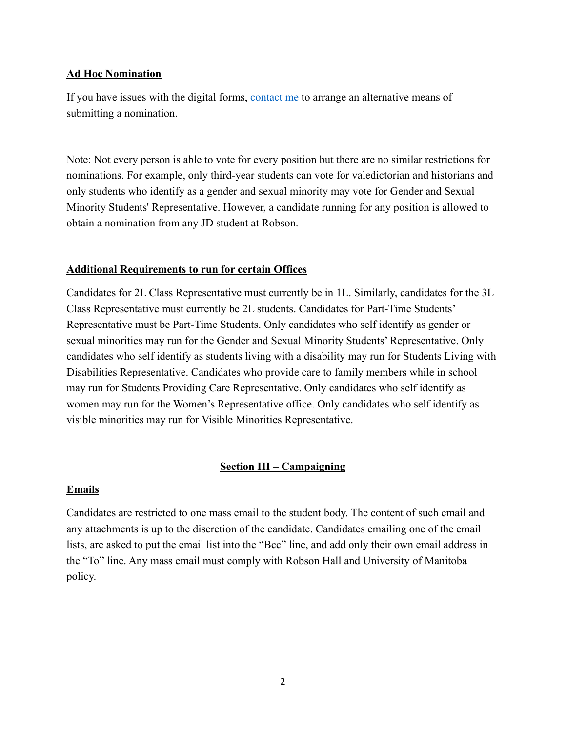#### **Ad Hoc Nomination**

If you have issues with the digital forms, [contact me](mailto:eshikeno@myumanitoba.ca?subject=CRO) to arrange an alternative means of submitting a nomination.

Note: Not every person is able to vote for every position but there are no similar restrictions for nominations. For example, only third-year students can vote for valedictorian and historians and only students who identify as a gender and sexual minority may vote for Gender and Sexual Minority Students' Representative. However, a candidate running for any position is allowed to obtain a nomination from any JD student at Robson.

#### **Additional Requirements to run for certain Offices**

Candidates for 2L Class Representative must currently be in 1L. Similarly, candidates for the 3L Class Representative must currently be 2L students. Candidates for Part-Time Students' Representative must be Part-Time Students. Only candidates who self identify as gender or sexual minorities may run for the Gender and Sexual Minority Students' Representative. Only candidates who self identify as students living with a disability may run for Students Living with Disabilities Representative. Candidates who provide care to family members while in school may run for Students Providing Care Representative. Only candidates who self identify as women may run for the Women's Representative office. Only candidates who self identify as visible minorities may run for Visible Minorities Representative.

#### **Section III – Campaigning**

#### **Emails**

Candidates are restricted to one mass email to the student body. The content of such email and any attachments is up to the discretion of the candidate. Candidates emailing one of the email lists, are asked to put the email list into the "Bcc" line, and add only their own email address in the "To" line. Any mass email must comply with Robson Hall and University of Manitoba policy.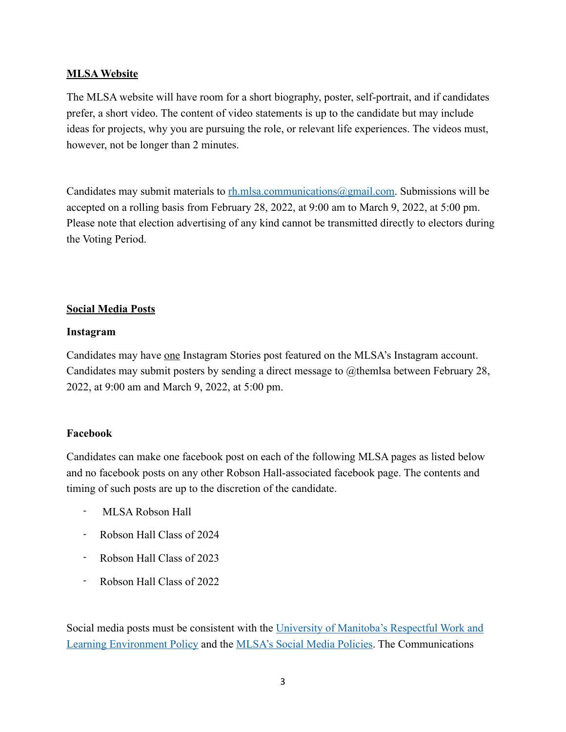#### **MLSA Website**

The MLSA website will have room for a short biography, poster, self-portrait, and if candidates prefer, a short video. The content of video statements is up to the candidate but may include ideas for projects, why you are pursuing the role, or relevant life experiences. The videos must, however, not be longer than 2 minutes.

Candidates may submit materials to  $rh.mlsa.communications@gmail.com$ . Submissions will be accepted on a rolling basis from February 28, 2022, at 9:00 am to March 9, 2022, at 5:00 pm. Please note that election advertising of any kind cannot be transmitted directly to electors during the Voting Period.

## **Social Media Posts**

#### **Instagram**

Candidates may have one Instagram Stories post featured on the MLSA's Instagram account. Candidates may submit posters by sending a direct message to @themlsa between February 28, 2022, at 9:00 am and March 9, 2022, at 5:00 pm.

## **Facebook**

Candidates can make one facebook post on each of the following MLSA pages as listed below and no facebook posts on any other Robson Hall-associated facebook page. The contents and timing of such posts are up to the discretion of the candidate.

- MLSA Robson Hall
- Robson Hall Class of 2024
- Robson Hall Class of 2023
- Robson Hall Class of 2022

Social media posts must be consistent with the [University of Manitoba's Respectful Work and](https://umanitoba.ca/about-um/respectful-work-and-learning-environment-policy)  [Learning Environment Policy](https://umanitoba.ca/about-um/respectful-work-and-learning-environment-policy) and the [MLSA's Social Media Policies](https://robsonmlsa.ca/wp-content/uploads/2021/07/MLSA-Social-Media-Policy.pdf). The Communications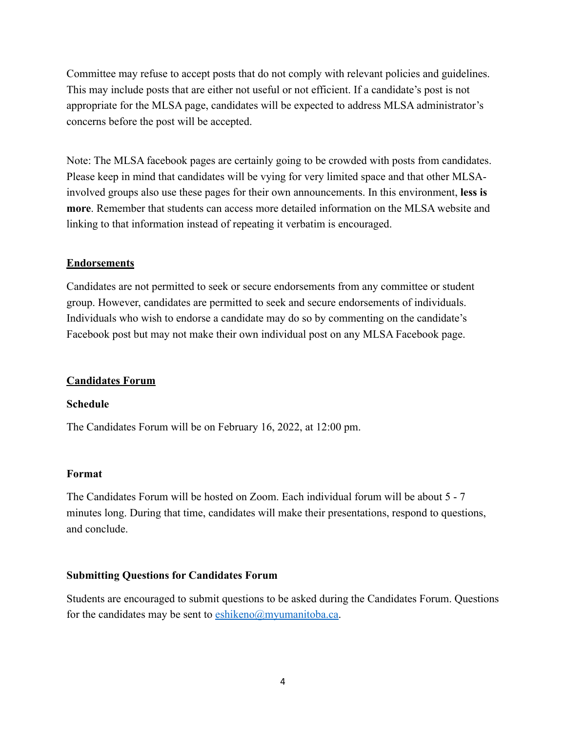Committee may refuse to accept posts that do not comply with relevant policies and guidelines. This may include posts that are either not useful or not efficient. If a candidate's post is not appropriate for the MLSA page, candidates will be expected to address MLSA administrator's concerns before the post will be accepted.

Note: The MLSA facebook pages are certainly going to be crowded with posts from candidates. Please keep in mind that candidates will be vying for very limited space and that other MLSAinvolved groups also use these pages for their own announcements. In this environment, **less is more**. Remember that students can access more detailed information on the MLSA website and linking to that information instead of repeating it verbatim is encouraged.

#### **Endorsements**

Candidates are not permitted to seek or secure endorsements from any committee or student group. However, candidates are permitted to seek and secure endorsements of individuals. Individuals who wish to endorse a candidate may do so by commenting on the candidate's Facebook post but may not make their own individual post on any MLSA Facebook page.

#### **Candidates Forum**

#### **Schedule**

The Candidates Forum will be on February 16, 2022, at 12:00 pm.

#### **Format**

The Candidates Forum will be hosted on Zoom. Each individual forum will be about 5 - 7 minutes long. During that time, candidates will make their presentations, respond to questions, and conclude.

#### **Submitting Questions for Candidates Forum**

Students are encouraged to submit questions to be asked during the Candidates Forum. Questions for the candidates may be sent to  $\frac{\text{eshikeno}(a)$  myumanitoba.ca.